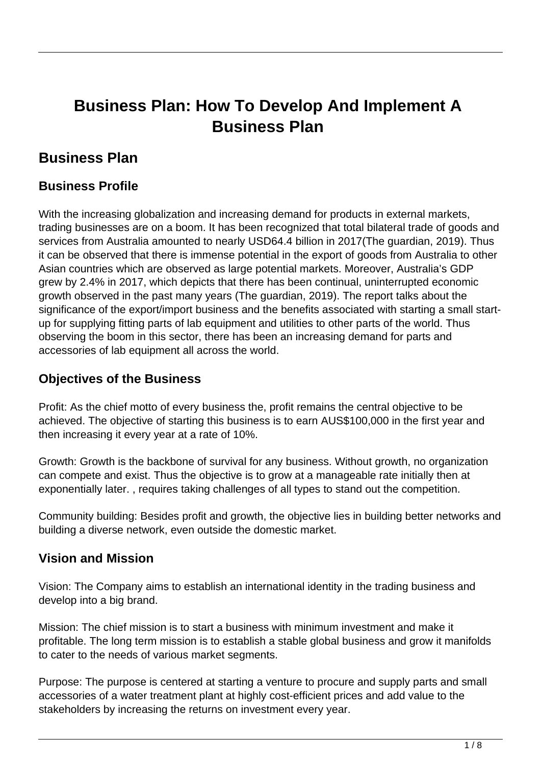# **Business Plan: How To Develop And Implement A Business Plan**

# **Business Plan**

### **Business Profile**

With the increasing globalization and increasing demand for products in external markets, trading businesses are on a boom. It has been recognized that total bilateral trade of goods and services from Australia amounted to nearly USD64.4 billion in 2017(The guardian, 2019). Thus it can be observed that there is immense potential in the export of goods from Australia to other Asian countries which are observed as large potential markets. Moreover, Australia's GDP grew by 2.4% in 2017, which depicts that there has been continual, uninterrupted economic growth observed in the past many years (The guardian, 2019). The report talks about the significance of the export/import business and the benefits associated with starting a small startup for supplying fitting parts of lab equipment and utilities to other parts of the world. Thus observing the boom in this sector, there has been an increasing demand for parts and accessories of lab equipment all across the world.

### **Objectives of the Business**

Profit: As the chief motto of every business the, profit remains the central objective to be achieved. The objective of starting this business is to earn AUS\$100,000 in the first year and then increasing it every year at a rate of 10%.

Growth: Growth is the backbone of survival for any business. Without growth, no organization can compete and exist. Thus the objective is to grow at a manageable rate initially then at exponentially later. , requires taking challenges of all types to stand out the competition.

Community building: Besides profit and growth, the objective lies in building better networks and building a diverse network, even outside the domestic market.

### **Vision and Mission**

Vision: The Company aims to establish an international identity in the trading business and develop into a big brand.

Mission: The chief mission is to start a business with minimum investment and make it profitable. The long term mission is to establish a stable global business and grow it manifolds to cater to the needs of various market segments.

Purpose: The purpose is centered at starting a venture to procure and supply parts and small accessories of a water treatment plant at highly cost-efficient prices and add value to the stakeholders by increasing the returns on investment every year.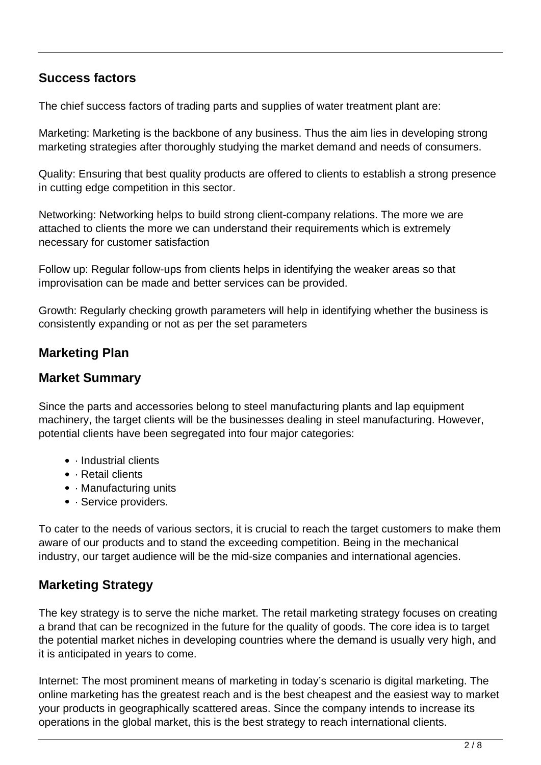### **Success factors**

The chief success factors of trading parts and supplies of water treatment plant are:

Marketing: Marketing is the backbone of any business. Thus the aim lies in developing strong marketing strategies after thoroughly studying the market demand and needs of consumers.

Quality: Ensuring that best quality products are offered to clients to establish a strong presence in cutting edge competition in this sector.

Networking: Networking helps to build strong client-company relations. The more we are attached to clients the more we can understand their requirements which is extremely necessary for customer satisfaction

Follow up: Regular follow-ups from clients helps in identifying the weaker areas so that improvisation can be made and better services can be provided.

Growth: Regularly checking growth parameters will help in identifying whether the business is consistently expanding or not as per the set parameters

### **Marketing Plan**

### **Market Summary**

Since the parts and accessories belong to steel manufacturing plants and lap equipment machinery, the target clients will be the businesses dealing in steel manufacturing. However, potential clients have been segregated into four major categories:

- Industrial clients
- · Retail clients
- · Manufacturing units
- · Service providers.

To cater to the needs of various sectors, it is crucial to reach the target customers to make them aware of our products and to stand the exceeding competition. Being in the mechanical industry, our target audience will be the mid-size companies and international agencies.

### **Marketing Strategy**

The key strategy is to serve the niche market. The retail marketing strategy focuses on creating a brand that can be recognized in the future for the quality of goods. The core idea is to target the potential market niches in developing countries where the demand is usually very high, and it is anticipated in years to come.

Internet: The most prominent means of marketing in today's scenario is digital marketing. The online marketing has the greatest reach and is the best cheapest and the easiest way to market your products in geographically scattered areas. Since the company intends to increase its operations in the global market, this is the best strategy to reach international clients.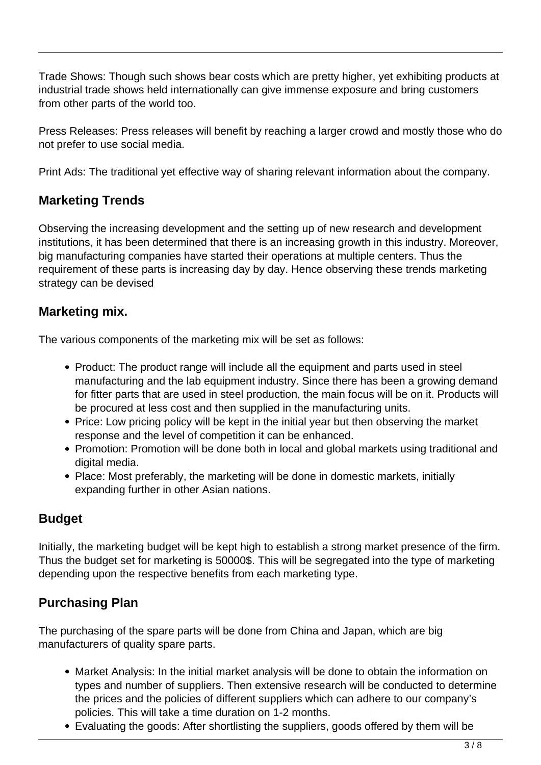Trade Shows: Though such shows bear costs which are pretty higher, yet exhibiting products at industrial trade shows held internationally can give immense exposure and bring customers from other parts of the world too.

Press Releases: Press releases will benefit by reaching a larger crowd and mostly those who do not prefer to use social media.

Print Ads: The traditional yet effective way of sharing relevant information about the company.

### **Marketing Trends**

Observing the increasing development and the setting up of new research and development institutions, it has been determined that there is an increasing growth in this industry. Moreover, big manufacturing companies have started their operations at multiple centers. Thus the requirement of these parts is increasing day by day. Hence observing these trends marketing strategy can be devised

### **Marketing mix.**

The various components of the marketing mix will be set as follows:

- Product: The product range will include all the equipment and parts used in steel manufacturing and the lab equipment industry. Since there has been a growing demand for fitter parts that are used in steel production, the main focus will be on it. Products will be procured at less cost and then supplied in the manufacturing units.
- Price: Low pricing policy will be kept in the initial year but then observing the market response and the level of competition it can be enhanced.
- Promotion: Promotion will be done both in local and global markets using traditional and digital media.
- Place: Most preferably, the marketing will be done in domestic markets, initially expanding further in other Asian nations.

### **Budget**

Initially, the marketing budget will be kept high to establish a strong market presence of the firm. Thus the budget set for marketing is 50000\$. This will be segregated into the type of marketing depending upon the respective benefits from each marketing type.

### **Purchasing Plan**

The purchasing of the spare parts will be done from China and Japan, which are big manufacturers of quality spare parts.

- Market Analysis: In the initial market analysis will be done to obtain the information on types and number of suppliers. Then extensive research will be conducted to determine the prices and the policies of different suppliers which can adhere to our company's policies. This will take a time duration on 1-2 months.
- Evaluating the goods: After shortlisting the suppliers, goods offered by them will be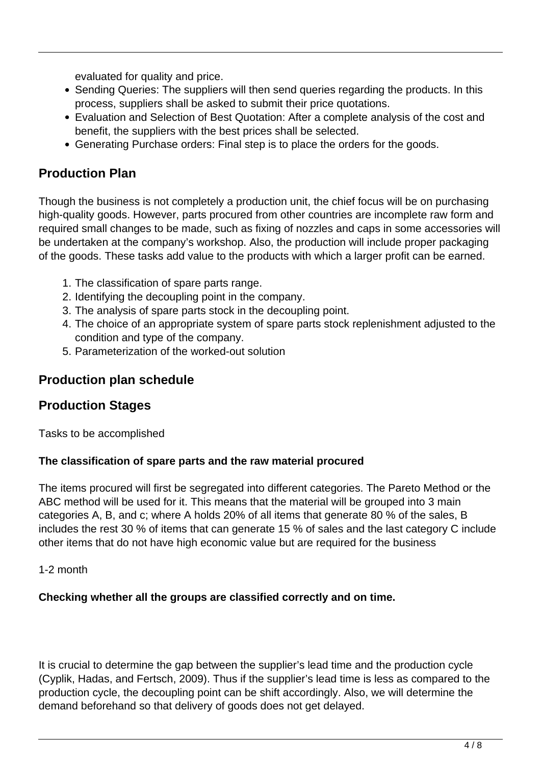evaluated for quality and price.

- Sending Queries: The suppliers will then send queries regarding the products. In this process, suppliers shall be asked to submit their price quotations.
- Evaluation and Selection of Best Quotation: After a complete analysis of the cost and benefit, the suppliers with the best prices shall be selected.
- Generating Purchase orders: Final step is to place the orders for the goods.

### **Production Plan**

Though the business is not completely a production unit, the chief focus will be on purchasing high-quality goods. However, parts procured from other countries are incomplete raw form and required small changes to be made, such as fixing of nozzles and caps in some accessories will be undertaken at the company's workshop. Also, the production will include proper packaging of the goods. These tasks add value to the products with which a larger profit can be earned.

- 1. The classification of spare parts range.
- 2. Identifying the decoupling point in the company.
- 3. The analysis of spare parts stock in the decoupling point.
- 4. The choice of an appropriate system of spare parts stock replenishment adjusted to the condition and type of the company.
- 5. Parameterization of the worked-out solution

### **Production plan schedule**

### **Production Stages**

Tasks to be accomplished

#### **The classification of spare parts and the raw material procured**

The items procured will first be segregated into different categories. The Pareto Method or the ABC method will be used for it. This means that the material will be grouped into 3 main categories A, B, and c; where A holds 20% of all items that generate 80 % of the sales, B includes the rest 30 % of items that can generate 15 % of sales and the last category C include other items that do not have high economic value but are required for the business

1-2 month

#### **Checking whether all the groups are classified correctly and on time.**

It is crucial to determine the gap between the supplier's lead time and the production cycle (Cyplik, Hadas, and Fertsch, 2009). Thus if the supplier's lead time is less as compared to the production cycle, the decoupling point can be shift accordingly. Also, we will determine the demand beforehand so that delivery of goods does not get delayed.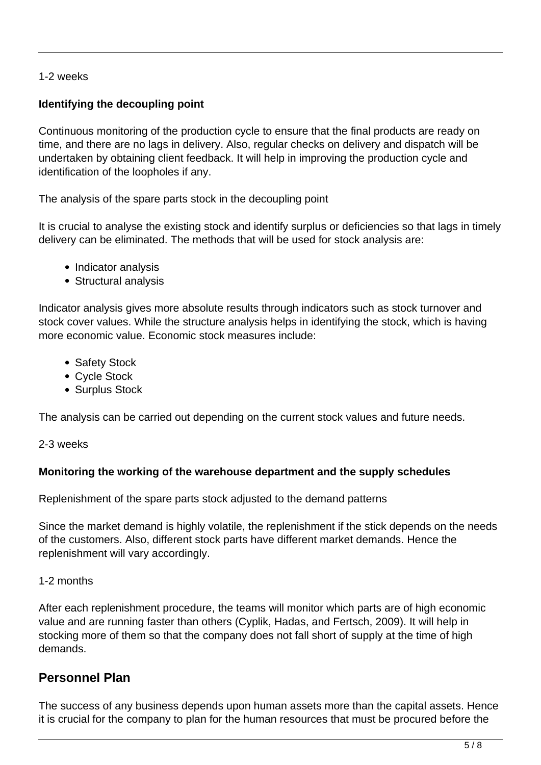#### 1-2 weeks

#### **Identifying the decoupling point**

Continuous monitoring of the production cycle to ensure that the final products are ready on time, and there are no lags in delivery. Also, regular checks on delivery and dispatch will be undertaken by obtaining client feedback. It will help in improving the production cycle and identification of the loopholes if any.

The analysis of the spare parts stock in the decoupling point

It is crucial to analyse the existing stock and identify surplus or deficiencies so that lags in timely delivery can be eliminated. The methods that will be used for stock analysis are:

- Indicator analysis
- Structural analysis

Indicator analysis gives more absolute results through indicators such as stock turnover and stock cover values. While the structure analysis helps in identifying the stock, which is having more economic value. Economic stock measures include:

- Safety Stock
- Cycle Stock
- Surplus Stock

The analysis can be carried out depending on the current stock values and future needs.

#### 2-3 weeks

#### **Monitoring the working of the warehouse department and the supply schedules**

Replenishment of the spare parts stock adjusted to the demand patterns

Since the market demand is highly volatile, the replenishment if the stick depends on the needs of the customers. Also, different stock parts have different market demands. Hence the replenishment will vary accordingly.

#### 1-2 months

After each replenishment procedure, the teams will monitor which parts are of high economic value and are running faster than others (Cyplik, Hadas, and Fertsch, 2009). It will help in stocking more of them so that the company does not fall short of supply at the time of high demands.

#### **Personnel Plan**

The success of any business depends upon human assets more than the capital assets. Hence it is crucial for the company to plan for the human resources that must be procured before the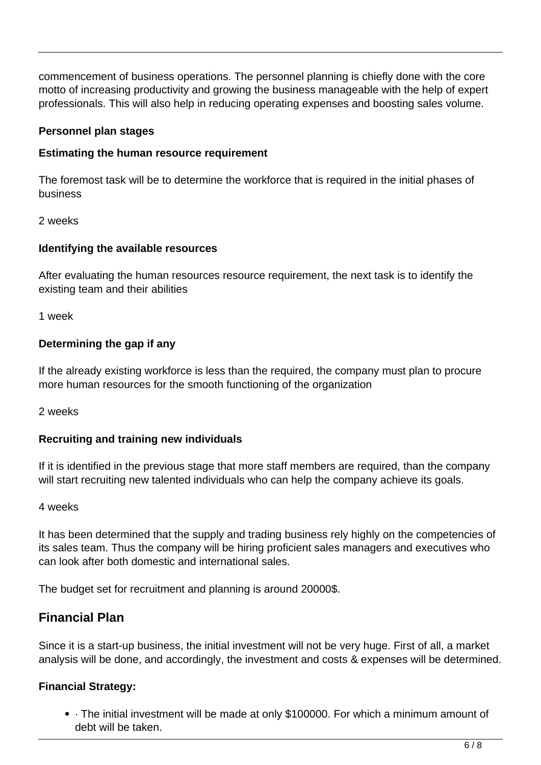commencement of business operations. The personnel planning is chiefly done with the core motto of increasing productivity and growing the business manageable with the help of expert professionals. This will also help in reducing operating expenses and boosting sales volume.

#### **Personnel plan stages**

#### **Estimating the human resource requirement**

The foremost task will be to determine the workforce that is required in the initial phases of business

#### 2 weeks

#### **Identifying the available resources**

After evaluating the human resources resource requirement, the next task is to identify the existing team and their abilities

1 week

#### **Determining the gap if any**

If the already existing workforce is less than the required, the company must plan to procure more human resources for the smooth functioning of the organization

2 weeks

#### **Recruiting and training new individuals**

If it is identified in the previous stage that more staff members are required, than the company will start recruiting new talented individuals who can help the company achieve its goals.

#### 4 weeks

It has been determined that the supply and trading business rely highly on the competencies of its sales team. Thus the company will be hiring proficient sales managers and executives who can look after both domestic and international sales.

The budget set for recruitment and planning is around 20000\$.

### **Financial Plan**

Since it is a start-up business, the initial investment will not be very huge. First of all, a market analysis will be done, and accordingly, the investment and costs & expenses will be determined.

#### **Financial Strategy:**

· The initial investment will be made at only \$100000. For which a minimum amount of debt will be taken.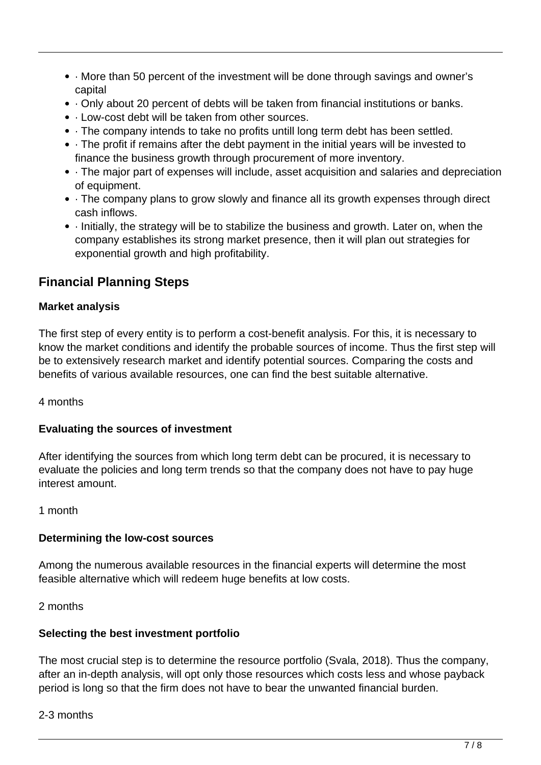- · More than 50 percent of the investment will be done through savings and owner's capital
- · Only about 20 percent of debts will be taken from financial institutions or banks.
- · Low-cost debt will be taken from other sources.
- · The company intends to take no profits untill long term debt has been settled.
- · The profit if remains after the debt payment in the initial years will be invested to finance the business growth through procurement of more inventory.
- · The major part of expenses will include, asset acquisition and salaries and depreciation of equipment.
- · The company plans to grow slowly and finance all its growth expenses through direct cash inflows.
- · Initially, the strategy will be to stabilize the business and growth. Later on, when the company establishes its strong market presence, then it will plan out strategies for exponential growth and high profitability.

# **Financial Planning Steps**

#### **Market analysis**

The first step of every entity is to perform a cost-benefit analysis. For this, it is necessary to know the market conditions and identify the probable sources of income. Thus the first step will be to extensively research market and identify potential sources. Comparing the costs and benefits of various available resources, one can find the best suitable alternative.

#### 4 months

#### **Evaluating the sources of investment**

After identifying the sources from which long term debt can be procured, it is necessary to evaluate the policies and long term trends so that the company does not have to pay huge interest amount.

#### 1 month

#### **Determining the low-cost sources**

Among the numerous available resources in the financial experts will determine the most feasible alternative which will redeem huge benefits at low costs.

2 months

#### **Selecting the best investment portfolio**

The most crucial step is to determine the resource portfolio (Svala, 2018). Thus the company, after an in-depth analysis, will opt only those resources which costs less and whose payback period is long so that the firm does not have to bear the unwanted financial burden.

#### 2-3 months